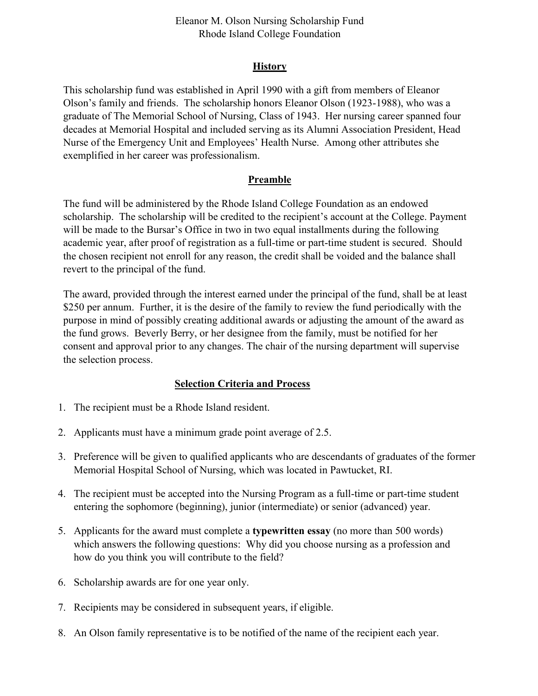# Eleanor M. Olson Nursing Scholarship Fund Rhode Island College Foundation

## **History**

This scholarship fund was established in April 1990 with a gift from members of Eleanor Olson's family and friends. The scholarship honors Eleanor Olson (1923-1988), who was a graduate of The Memorial School of Nursing, Class of 1943. Her nursing career spanned four decades at Memorial Hospital and included serving as its Alumni Association President, Head Nurse of the Emergency Unit and Employees' Health Nurse. Among other attributes she exemplified in her career was professionalism.

## **Preamble**

The fund will be administered by the Rhode Island College Foundation as an endowed scholarship. The scholarship will be credited to the recipient's account at the College. Payment will be made to the Bursar's Office in two in two equal installments during the following academic year, after proof of registration as a full-time or part-time student is secured. Should the chosen recipient not enroll for any reason, the credit shall be voided and the balance shall revert to the principal of the fund.

The award, provided through the interest earned under the principal of the fund, shall be at least \$250 per annum. Further, it is the desire of the family to review the fund periodically with the purpose in mind of possibly creating additional awards or adjusting the amount of the award as the fund grows. Beverly Berry, or her designee from the family, must be notified for her consent and approval prior to any changes. The chair of the nursing department will supervise the selection process.

#### **Selection Criteria and Process**

- 1. The recipient must be a Rhode Island resident.
- 2. Applicants must have a minimum grade point average of 2.5.
- 3. Preference will be given to qualified applicants who are descendants of graduates of the former Memorial Hospital School of Nursing, which was located in Pawtucket, RI.
- 4. The recipient must be accepted into the Nursing Program as a full-time or part-time student entering the sophomore (beginning), junior (intermediate) or senior (advanced) year.
- 5. Applicants for the award must complete a **typewritten essay** (no more than 500 words) which answers the following questions: Why did you choose nursing as a profession and how do you think you will contribute to the field?
- 6. Scholarship awards are for one year only.
- 7. Recipients may be considered in subsequent years, if eligible.
- 8. An Olson family representative is to be notified of the name of the recipient each year.